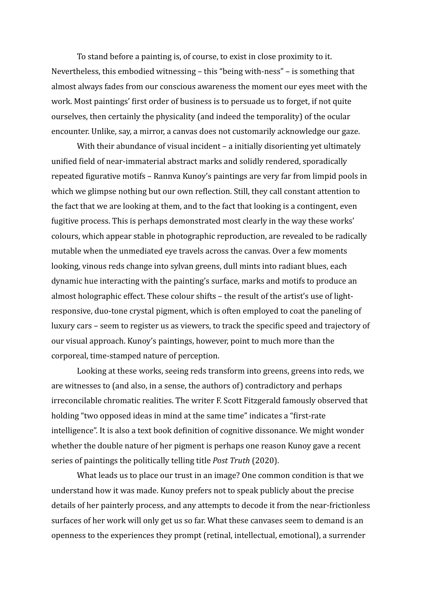To stand before a painting is, of course, to exist in close proximity to it. Nevertheless, this embodied witnessing  $-$  this "being with-ness"  $-$  is something that almost always fades from our conscious awareness the moment our eyes meet with the work. Most paintings' first order of business is to persuade us to forget, if not quite ourselves, then certainly the physicality (and indeed the temporality) of the ocular encounter. Unlike, say, a mirror, a canvas does not customarily acknowledge our gaze.

With their abundance of visual incident  $-$  a initially disorienting vet ultimately unified field of near-immaterial abstract marks and solidly rendered, sporadically repeated figurative motifs – Rannva Kunoy's paintings are very far from limpid pools in which we glimpse nothing but our own reflection. Still, they call constant attention to the fact that we are looking at them, and to the fact that looking is a contingent, even fugitive process. This is perhaps demonstrated most clearly in the way these works' colours, which appear stable in photographic reproduction, are revealed to be radically mutable when the unmediated eye travels across the canvas. Over a few moments looking, vinous reds change into sylvan greens, dull mints into radiant blues, each dynamic hue interacting with the painting's surface, marks and motifs to produce an almost holographic effect. These colour shifts  $-$  the result of the artist's use of lightresponsive, duo-tone crystal pigment, which is often employed to coat the paneling of luxury cars – seem to register us as viewers, to track the specific speed and trajectory of our visual approach. Kunoy's paintings, however, point to much more than the corporeal, time-stamped nature of perception.

Looking at these works, seeing reds transform into greens, greens into reds, we are witnesses to (and also, in a sense, the authors of) contradictory and perhaps irreconcilable chromatic realities. The writer F. Scott Fitzgerald famously observed that holding "two opposed ideas in mind at the same time" indicates a "first-rate intelligence". It is also a text book definition of cognitive dissonance. We might wonder whether the double nature of her pigment is perhaps one reason Kunoy gave a recent series of paintings the politically telling title *Post Truth* (2020).

What leads us to place our trust in an image? One common condition is that we understand how it was made. Kunoy prefers not to speak publicly about the precise details of her painterly process, and any attempts to decode it from the near-frictionless surfaces of her work will only get us so far. What these canvases seem to demand is an openness to the experiences they prompt (retinal, intellectual, emotional), a surrender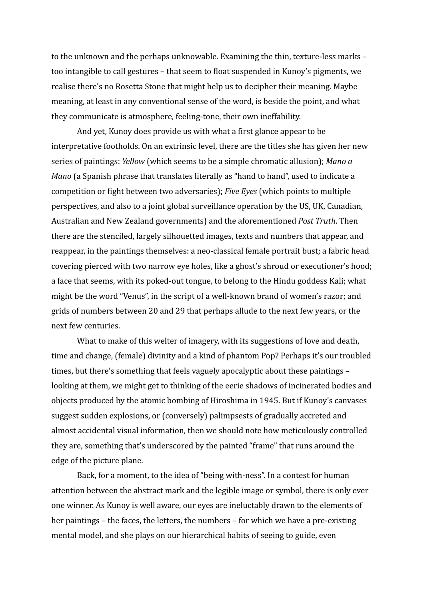to the unknown and the perhaps unknowable. Examining the thin, texture-less marks too intangible to call gestures – that seem to float suspended in Kunoy's pigments, we realise there's no Rosetta Stone that might help us to decipher their meaning. Maybe meaning, at least in any conventional sense of the word, is beside the point, and what they communicate is atmosphere, feeling-tone, their own ineffability.

And yet, Kunoy does provide us with what a first glance appear to be interpretative footholds. On an extrinsic level, there are the titles she has given her new series of paintings: *Yellow* (which seems to be a simple chromatic allusion); *Mano a Mano* (a Spanish phrase that translates literally as "hand to hand", used to indicate a competition or fight between two adversaries); *Five Eyes* (which points to multiple perspectives, and also to a joint global surveillance operation by the US, UK, Canadian, Australian and New Zealand governments) and the aforementioned *Post Truth*. Then there are the stenciled, largely silhouetted images, texts and numbers that appear, and reappear, in the paintings themselves: a neo-classical female portrait bust; a fabric head covering pierced with two narrow eye holes, like a ghost's shroud or executioner's hood; a face that seems, with its poked-out tongue, to belong to the Hindu goddess Kali; what might be the word "Venus", in the script of a well-known brand of women's razor; and grids of numbers between 20 and 29 that perhaps allude to the next few years, or the next few centuries.

What to make of this welter of imagery, with its suggestions of love and death, time and change, (female) divinity and a kind of phantom Pop? Perhaps it's our troubled times, but there's something that feels vaguely apocalyptic about these paintings  $$ looking at them, we might get to thinking of the eerie shadows of incinerated bodies and objects produced by the atomic bombing of Hiroshima in 1945. But if Kunoy's canvases suggest sudden explosions, or (conversely) palimpsests of gradually accreted and almost accidental visual information, then we should note how meticulously controlled they are, something that's underscored by the painted "frame" that runs around the edge of the picture plane.

Back, for a moment, to the idea of "being with-ness". In a contest for human attention between the abstract mark and the legible image or symbol, there is only ever one winner. As Kunoy is well aware, our eves are ineluctably drawn to the elements of her paintings – the faces, the letters, the numbers – for which we have a pre-existing mental model, and she plays on our hierarchical habits of seeing to guide, even